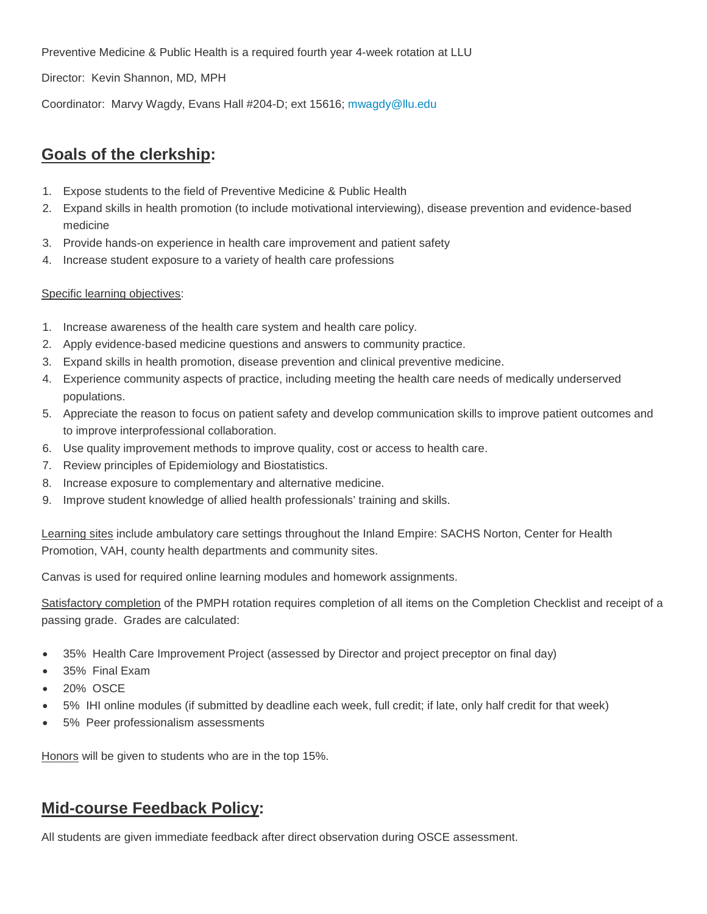Preventive Medicine & Public Health is a required fourth year 4-week rotation at LLU

Director: Kevin Shannon, MD*,* MPH

Coordinator: Marvy Wagdy, Evans Hall #204-D; ext 15616; [mwagdy@llu.edu](mailto:mwagdy@llu.edu)

# **Goals of the clerkship:**

- 1. Expose students to the field of Preventive Medicine & Public Health
- 2. Expand skills in health promotion (to include motivational interviewing), disease prevention and evidence-based medicine
- 3. Provide hands-on experience in health care improvement and patient safety
- 4. Increase student exposure to a variety of health care professions

#### Specific learning objectives:

- 1. Increase awareness of the health care system and health care policy.
- 2. Apply evidence-based medicine questions and answers to community practice.
- 3. Expand skills in health promotion, disease prevention and clinical preventive medicine.
- 4. Experience community aspects of practice, including meeting the health care needs of medically underserved populations.
- 5. Appreciate the reason to focus on patient safety and develop communication skills to improve patient outcomes and to improve interprofessional collaboration.
- 6. Use quality improvement methods to improve quality, cost or access to health care.
- 7. Review principles of Epidemiology and Biostatistics.
- 8. Increase exposure to complementary and alternative medicine.
- 9. Improve student knowledge of allied health professionals' training and skills.

Learning sites include ambulatory care settings throughout the Inland Empire: SACHS Norton, Center for Health Promotion, VAH, county health departments and community sites.

Canvas is used for required online learning modules and homework assignments.

Satisfactory completion of the PMPH rotation requires completion of all items on the Completion Checklist and receipt of a passing grade. Grades are calculated:

- 35% Health Care Improvement Project (assessed by Director and project preceptor on final day)
- 35% Final Exam
- 20% OSCE
- 5% IHI online modules (if submitted by deadline each week, full credit; if late, only half credit for that week)
- 5% Peer professionalism assessments

Honors will be given to students who are in the top 15%.

## **Mid-course Feedback Policy:**

All students are given immediate feedback after direct observation during OSCE assessment.